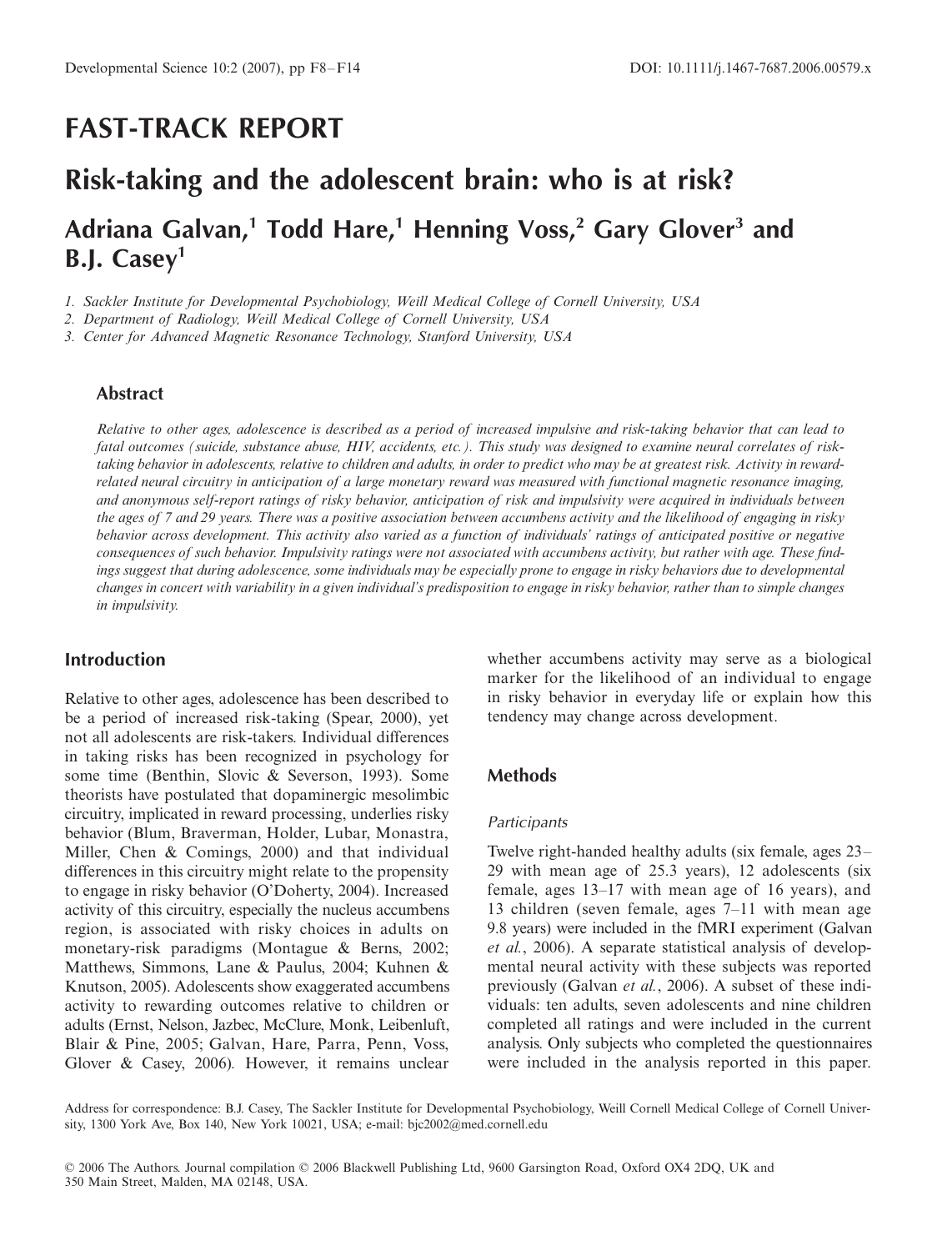## **FAST-TRACK REPORT**

# **Risk-taking and the adolescent brain: who is at risk?**

## **Adriana Galvan,1 Todd Hare,1 Henning Voss,2 Gary Glover3 and B.J. Casey1**

*1. Sackler Institute for Developmental Psychobiology, Weill Medical College of Cornell University, USA*

*2. Department of Radiology, Weill Medical College of Cornell University, USA*

*3. Center for Advanced Magnetic Resonance Technology, Stanford University, USA*

## **Abstract**

*Relative to other ages, adolescence is described as a period of increased impulsive and risk-taking behavior that can lead to fatal outcomes (suicide, substance abuse, HIV, accidents, etc.). This study was designed to examine neural correlates of risktaking behavior in adolescents, relative to children and adults, in order to predict who may be at greatest risk. Activity in rewardrelated neural circuitry in anticipation of a large monetary reward was measured with functional magnetic resonance imaging, and anonymous self-report ratings of risky behavior, anticipation of risk and impulsivity were acquired in individuals between the ages of 7 and 29 years. There was a positive association between accumbens activity and the likelihood of engaging in risky behavior across development. This activity also varied as a function of individuals' ratings of anticipated positive or negative consequences of such behavior. Impulsivity ratings were not associated with accumbens activity, but rather with age. These findings suggest that during adolescence, some individuals may be especially prone to engage in risky behaviors due to developmental changes in concert with variability in a given individual's predisposition to engage in risky behavior, rather than to simple changes in impulsivity.*

## **Introduction**

Relative to other ages, adolescence has been described to be a period of increased risk-taking (Spear, 2000), yet not all adolescents are risk-takers. Individual differences in taking risks has been recognized in psychology for some time (Benthin, Slovic & Severson, 1993). Some theorists have postulated that dopaminergic mesolimbic circuitry, implicated in reward processing, underlies risky behavior (Blum, Braverman, Holder, Lubar, Monastra, Miller, Chen & Comings, 2000) and that individual differences in this circuitry might relate to the propensity to engage in risky behavior (O'Doherty, 2004). Increased activity of this circuitry, especially the nucleus accumbens region, is associated with risky choices in adults on monetary-risk paradigms (Montague & Berns, 2002; Matthews, Simmons, Lane & Paulus, 2004; Kuhnen & Knutson, 2005). Adolescents show exaggerated accumbens activity to rewarding outcomes relative to children or adults (Ernst, Nelson, Jazbec, McClure, Monk, Leibenluft, Blair & Pine, 2005; Galvan, Hare, Parra, Penn, Voss, Glover & Casey, 2006)*.* However, it remains unclear

whether accumbens activity may serve as a biological marker for the likelihood of an individual to engage in risky behavior in everyday life or explain how this tendency may change across development.

#### **Methods**

#### **Participants**

Twelve right-handed healthy adults (six female, ages 23– 29 with mean age of 25.3 years), 12 adolescents (six female, ages 13–17 with mean age of 16 years), and 13 children (seven female, ages 7–11 with mean age 9.8 years) were included in the fMRI experiment (Galvan *et al.*, 2006). A separate statistical analysis of developmental neural activity with these subjects was reported previously (Galvan *et al.*, 2006). A subset of these individuals: ten adults, seven adolescents and nine children completed all ratings and were included in the current analysis. Only subjects who completed the questionnaires were included in the analysis reported in this paper.

Address for correspondence: B.J. Casey, The Sackler Institute for Developmental Psychobiology, Weill Cornell Medical College of Cornell University, 1300 York Ave, Box 140, New York 10021, USA; e-mail: bjc2002@med.cornell.edu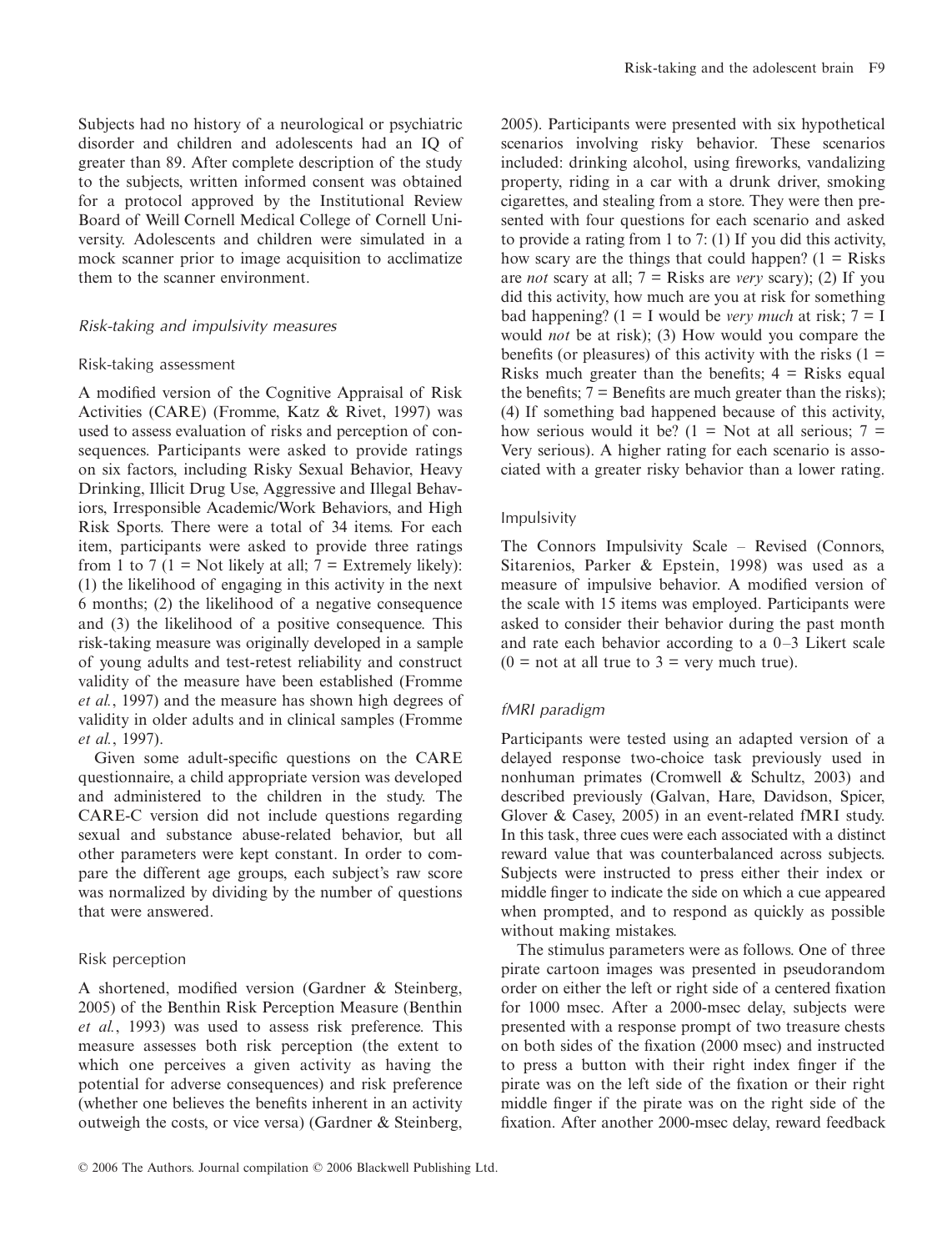Subjects had no history of a neurological or psychiatric disorder and children and adolescents had an IQ of greater than 89. After complete description of the study to the subjects, written informed consent was obtained for a protocol approved by the Institutional Review Board of Weill Cornell Medical College of Cornell University. Adolescents and children were simulated in a mock scanner prior to image acquisition to acclimatize them to the scanner environment.

#### Risk-taking and impulsivity measures

#### Risk-taking assessment

A modified version of the Cognitive Appraisal of Risk Activities (CARE) (Fromme, Katz & Rivet, 1997) was used to assess evaluation of risks and perception of consequences. Participants were asked to provide ratings on six factors, including Risky Sexual Behavior, Heavy Drinking, Illicit Drug Use, Aggressive and Illegal Behaviors, Irresponsible Academic/Work Behaviors, and High Risk Sports. There were a total of 34 items. For each item, participants were asked to provide three ratings from 1 to 7 (1 = Not likely at all;  $7 =$  Extremely likely): (1) the likelihood of engaging in this activity in the next 6 months; (2) the likelihood of a negative consequence and (3) the likelihood of a positive consequence. This risk-taking measure was originally developed in a sample of young adults and test-retest reliability and construct validity of the measure have been established (Fromme *et al.*, 1997) and the measure has shown high degrees of validity in older adults and in clinical samples (Fromme *et al.*, 1997).

Given some adult-specific questions on the CARE questionnaire, a child appropriate version was developed and administered to the children in the study. The CARE-C version did not include questions regarding sexual and substance abuse-related behavior, but all other parameters were kept constant. In order to compare the different age groups, each subject's raw score was normalized by dividing by the number of questions that were answered.

#### Risk perception

A shortened, modified version (Gardner & Steinberg, 2005) of the Benthin Risk Perception Measure (Benthin *et al.*, 1993) was used to assess risk preference. This measure assesses both risk perception (the extent to which one perceives a given activity as having the potential for adverse consequences) and risk preference (whether one believes the benefits inherent in an activity outweigh the costs, or vice versa) (Gardner & Steinberg,

2005). Participants were presented with six hypothetical scenarios involving risky behavior. These scenarios included: drinking alcohol, using fireworks, vandalizing property, riding in a car with a drunk driver, smoking cigarettes, and stealing from a store. They were then presented with four questions for each scenario and asked to provide a rating from 1 to 7: (1) If you did this activity, how scary are the things that could happen?  $(1 = R$ isks are *not* scary at all; 7 = Risks are *very* scary); (2) If you did this activity, how much are you at risk for something bad happening?  $(1 = I \text{ would be } very \text{ much at risk}; 7 = I$ would *not* be at risk); (3) How would you compare the benefits (or pleasures) of this activity with the risks  $(1 =$ Risks much greater than the benefits;  $4 =$  Risks equal the benefits;  $7 =$  Benefits are much greater than the risks); (4) If something bad happened because of this activity, how serious would it be?  $(1 = Not at all serious; 7 =$ Very serious). A higher rating for each scenario is associated with a greater risky behavior than a lower rating.

#### Impulsivity

The Connors Impulsivity Scale – Revised (Connors, Sitarenios, Parker & Epstein, 1998) was used as a measure of impulsive behavior. A modified version of the scale with 15 items was employed. Participants were asked to consider their behavior during the past month and rate each behavior according to a 0–3 Likert scale  $(0 = not at all true to 3 = very much true).$ 

#### fMRI paradigm

Participants were tested using an adapted version of a delayed response two-choice task previously used in nonhuman primates (Cromwell & Schultz, 2003) and described previously (Galvan, Hare, Davidson, Spicer, Glover & Casey, 2005) in an event-related fMRI study. In this task, three cues were each associated with a distinct reward value that was counterbalanced across subjects. Subjects were instructed to press either their index or middle finger to indicate the side on which a cue appeared when prompted, and to respond as quickly as possible without making mistakes.

The stimulus parameters were as follows. One of three pirate cartoon images was presented in pseudorandom order on either the left or right side of a centered fixation for 1000 msec. After a 2000-msec delay, subjects were presented with a response prompt of two treasure chests on both sides of the fixation (2000 msec) and instructed to press a button with their right index finger if the pirate was on the left side of the fixation or their right middle finger if the pirate was on the right side of the fixation. After another 2000-msec delay, reward feedback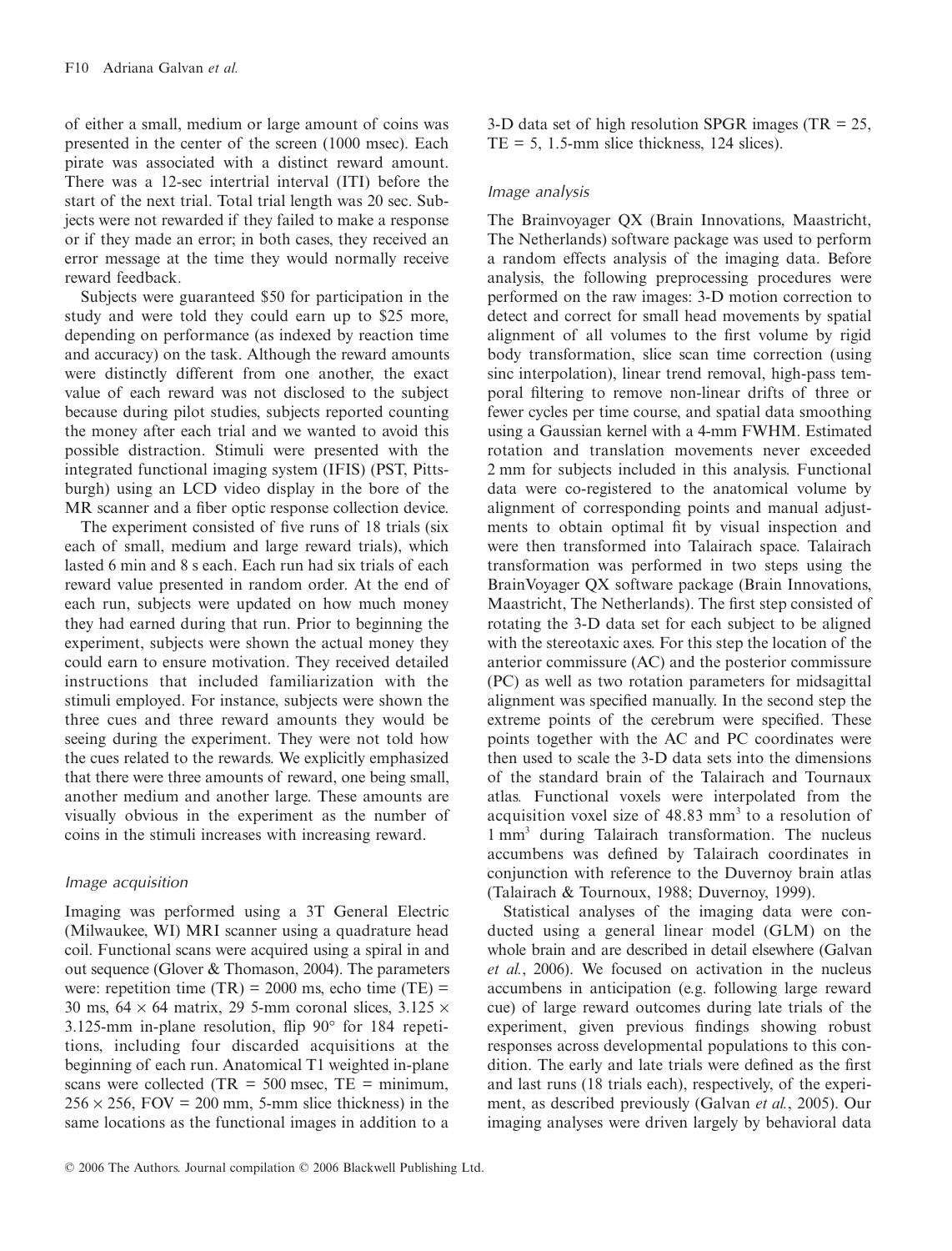of either a small, medium or large amount of coins was presented in the center of the screen (1000 msec). Each pirate was associated with a distinct reward amount. There was a 12-sec intertrial interval (ITI) before the start of the next trial. Total trial length was 20 sec. Subjects were not rewarded if they failed to make a response or if they made an error; in both cases, they received an error message at the time they would normally receive reward feedback.

Subjects were guaranteed \$50 for participation in the study and were told they could earn up to \$25 more, depending on performance (as indexed by reaction time and accuracy) on the task. Although the reward amounts were distinctly different from one another, the exact value of each reward was not disclosed to the subject because during pilot studies, subjects reported counting the money after each trial and we wanted to avoid this possible distraction. Stimuli were presented with the integrated functional imaging system (IFIS) (PST, Pittsburgh) using an LCD video display in the bore of the MR scanner and a fiber optic response collection device.

The experiment consisted of five runs of 18 trials (six each of small, medium and large reward trials), which lasted 6 min and 8 s each. Each run had six trials of each reward value presented in random order. At the end of each run, subjects were updated on how much money they had earned during that run. Prior to beginning the experiment, subjects were shown the actual money they could earn to ensure motivation. They received detailed instructions that included familiarization with the stimuli employed. For instance, subjects were shown the three cues and three reward amounts they would be seeing during the experiment. They were not told how the cues related to the rewards. We explicitly emphasized that there were three amounts of reward, one being small, another medium and another large. These amounts are visually obvious in the experiment as the number of coins in the stimuli increases with increasing reward.

### Image acquisition

Imaging was performed using a 3T General Electric (Milwaukee, WI) MRI scanner using a quadrature head coil. Functional scans were acquired using a spiral in and out sequence (Glover & Thomason, 2004). The parameters were: repetition time  $(TR) = 2000$  ms, echo time  $(TE) =$ 30 ms,  $64 \times 64$  matrix, 29 5-mm coronal slices, 3.125  $\times$ 3.125-mm in-plane resolution, flip 90 for 184 repetitions, including four discarded acquisitions at the beginning of each run. Anatomical T1 weighted in-plane scans were collected (TR =  $500$  msec, TE = minimum,  $256 \times 256$ , FOV = 200 mm, 5-mm slice thickness) in the same locations as the functional images in addition to a

3-D data set of high resolution SPGR images (TR  $= 25$ ,  $TE = 5$ , 1.5-mm slice thickness, 124 slices).

#### Image analysis

The Brainvoyager QX (Brain Innovations, Maastricht, The Netherlands) software package was used to perform a random effects analysis of the imaging data. Before analysis, the following preprocessing procedures were performed on the raw images: 3-D motion correction to detect and correct for small head movements by spatial alignment of all volumes to the first volume by rigid body transformation, slice scan time correction (using sinc interpolation), linear trend removal, high-pass temporal filtering to remove non-linear drifts of three or fewer cycles per time course, and spatial data smoothing using a Gaussian kernel with a 4-mm FWHM. Estimated rotation and translation movements never exceeded 2 mm for subjects included in this analysis. Functional data were co-registered to the anatomical volume by alignment of corresponding points and manual adjustments to obtain optimal fit by visual inspection and were then transformed into Talairach space. Talairach transformation was performed in two steps using the BrainVoyager QX software package (Brain Innovations, Maastricht, The Netherlands). The first step consisted of rotating the 3-D data set for each subject to be aligned with the stereotaxic axes. For this step the location of the anterior commissure (AC) and the posterior commissure (PC) as well as two rotation parameters for midsagittal alignment was specified manually. In the second step the extreme points of the cerebrum were specified. These points together with the AC and PC coordinates were then used to scale the 3-D data sets into the dimensions of the standard brain of the Talairach and Tournaux atlas*.* Functional voxels were interpolated from the acquisition voxel size of  $48.83$  mm<sup>3</sup> to a resolution of 1 mm3 during Talairach transformation. The nucleus accumbens was defined by Talairach coordinates in conjunction with reference to the Duvernoy brain atlas (Talairach & Tournoux, 1988; Duvernoy, 1999).

Statistical analyses of the imaging data were conducted using a general linear model (GLM) on the whole brain and are described in detail elsewhere (Galvan *et al.*, 2006). We focused on activation in the nucleus accumbens in anticipation (e.g. following large reward cue) of large reward outcomes during late trials of the experiment, given previous findings showing robust responses across developmental populations to this condition. The early and late trials were defined as the first and last runs (18 trials each), respectively, of the experiment, as described previously (Galvan *et al.*, 2005). Our imaging analyses were driven largely by behavioral data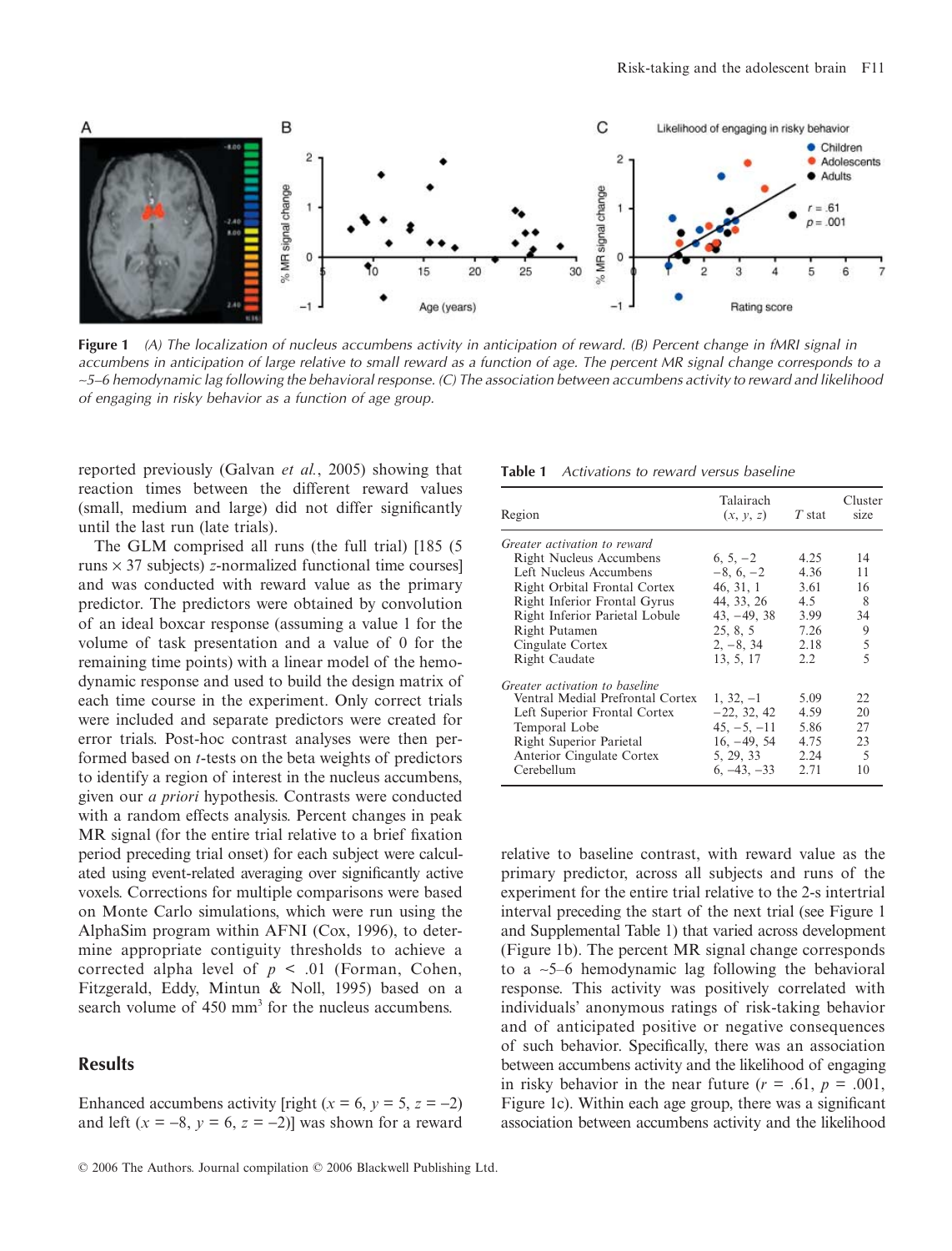

**Figure 1** (A) The localization of nucleus accumbens activity in anticipation of reward. (B) Percent change in fMRI signal in accumbens in anticipation of large relative to small reward as a function of age. The percent MR signal change corresponds to a <sup>∼</sup>5–6 hemodynamic lag following the behavioral response. (C) The association between accumbens activity to reward and likelihood of engaging in risky behavior as a function of age group.

reported previously (Galvan *et al.*, 2005) showing that reaction times between the different reward values (small, medium and large) did not differ significantly until the last run (late trials).

The GLM comprised all runs (the full trial) [185 (5 runs × 37 subjects) *z*-normalized functional time courses] and was conducted with reward value as the primary predictor. The predictors were obtained by convolution of an ideal boxcar response (assuming a value 1 for the volume of task presentation and a value of 0 for the remaining time points) with a linear model of the hemodynamic response and used to build the design matrix of each time course in the experiment. Only correct trials were included and separate predictors were created for error trials. Post-hoc contrast analyses were then performed based on *t*-tests on the beta weights of predictors to identify a region of interest in the nucleus accumbens, given our *a priori* hypothesis. Contrasts were conducted with a random effects analysis. Percent changes in peak MR signal (for the entire trial relative to a brief fixation period preceding trial onset) for each subject were calculated using event-related averaging over significantly active voxels. Corrections for multiple comparisons were based on Monte Carlo simulations, which were run using the AlphaSim program within AFNI (Cox, 1996), to determine appropriate contiguity thresholds to achieve a corrected alpha level of  $p < .01$  (Forman, Cohen, Fitzgerald, Eddy, Mintun & Noll, 1995) based on a search volume of 450 mm<sup>3</sup> for the nucleus accumbens.

## **Results**

Enhanced accumbens activity [right  $(x = 6, y = 5, z = -2)$ ] and left  $(x = -8, y = 6, z = -2)$ ] was shown for a reward

**Table 1** Activations to reward versus baseline

| Region                           | Talairach<br>(x, y, z) | $T$ stat | Cluster<br>size |
|----------------------------------|------------------------|----------|-----------------|
| Greater activation to reward     |                        |          |                 |
| <b>Right Nucleus Accumbens</b>   | $6, 5, -2$             | 4.25     | 14              |
| Left Nucleus Accumbens           | $-8, 6, -2$            | 4.36     | 11              |
| Right Orbital Frontal Cortex     | 46, 31, 1              | 3.61     | 16              |
| Right Inferior Frontal Gyrus     | 44, 33, 26             | 4.5      | 8               |
| Right Inferior Parietal Lobule   | $43, -49, 38$          | 3.99     | 34              |
| Right Putamen                    | 25, 8, 5               | 7.26     | 9               |
| Cingulate Cortex                 | $2, -8, 34$            | 2.18     | 5               |
| Right Caudate                    | 13, 5, 17              | 2.2      | 5               |
| Greater activation to baseline   |                        |          |                 |
| Ventral Medial Prefrontal Cortex | $1, 32, -1$            | 5.09     | 22              |
| Left Superior Frontal Cortex     | $-22, 32, 42$          | 4.59     | 20              |
| Temporal Lobe                    | $45, -5, -11$          | 5.86     | 27              |
| Right Superior Parietal          | $16, -49, 54$          | 4.75     | 23              |
| Anterior Cingulate Cortex        | 5, 29, 33              | 2.24     | 5               |
| Cerebellum                       | $6, -43, -33$          | 2.71     | 10              |

relative to baseline contrast, with reward value as the primary predictor, across all subjects and runs of the experiment for the entire trial relative to the 2-s intertrial interval preceding the start of the next trial (see Figure 1 and Supplemental Table 1) that varied across development (Figure 1b). The percent MR signal change corresponds to a ∼5–6 hemodynamic lag following the behavioral response. This activity was positively correlated with individuals' anonymous ratings of risk-taking behavior and of anticipated positive or negative consequences of such behavior. Specifically, there was an association between accumbens activity and the likelihood of engaging in risky behavior in the near future  $(r = .61, p = .001,$ Figure 1c). Within each age group, there was a significant association between accumbens activity and the likelihood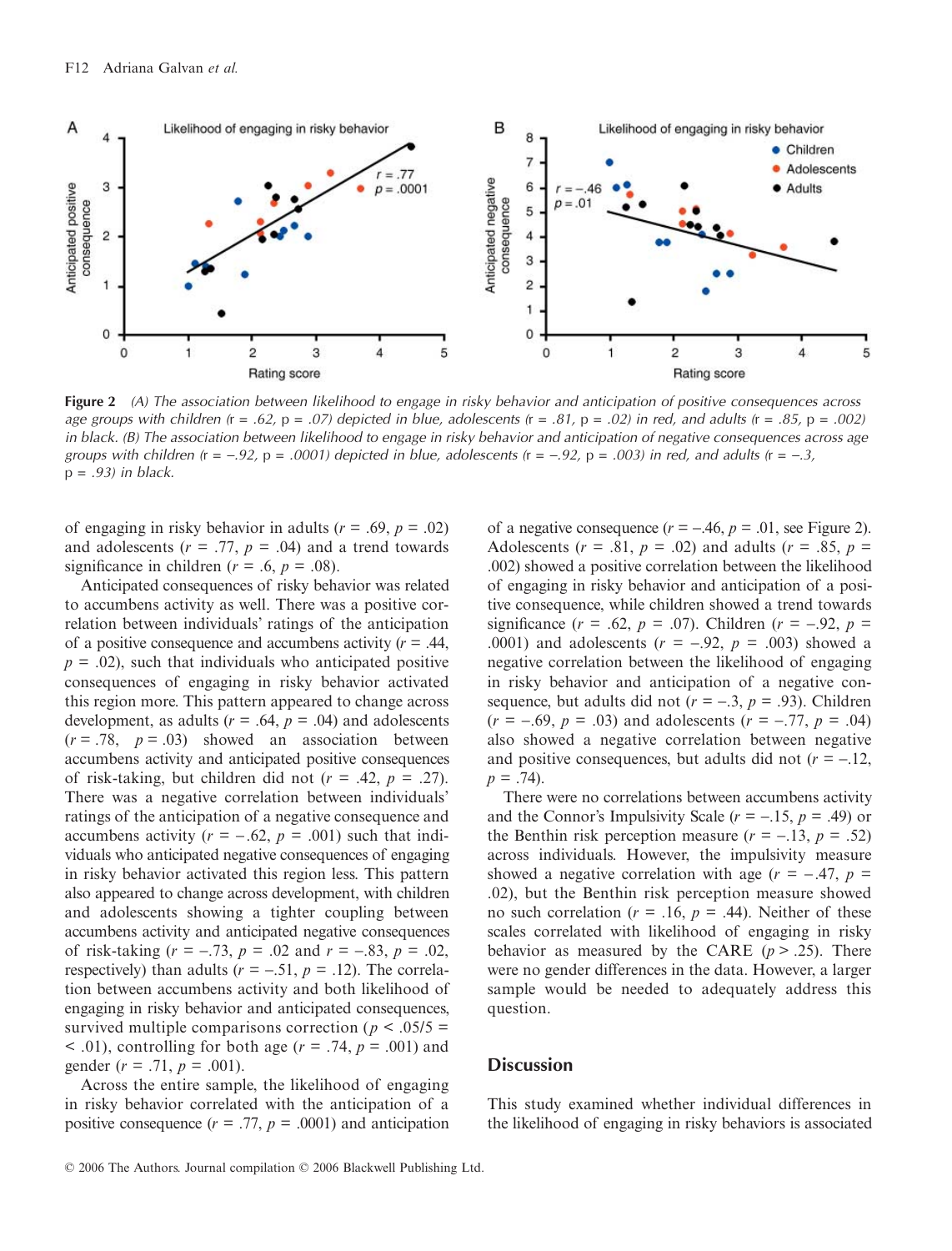

**Figure 2** (A) The association between likelihood to engage in risky behavior and anticipation of positive consequences across age groups with children  $(r = .62, p = .07)$  depicted in blue, adolescents  $(r = .81, p = .02)$  in red, and adults  $(r = .85, p = .002)$ in black. (B) The association between likelihood to engage in risky behavior and anticipation of negative consequences across age groups with children (r = -.92, p = .0001) depicted in blue, adolescents (r = -.92, p = .003) in red, and adults (r = -.3,  $p = .93$ ) in black.

of engaging in risky behavior in adults  $(r = .69, p = .02)$ and adolescents  $(r = .77, p = .04)$  and a trend towards significance in children  $(r = .6, p = .08)$ .

Anticipated consequences of risky behavior was related to accumbens activity as well. There was a positive correlation between individuals' ratings of the anticipation of a positive consequence and accumbens activity (*r* = .44,  $p = .02$ ), such that individuals who anticipated positive consequences of engaging in risky behavior activated this region more. This pattern appeared to change across development, as adults  $(r = .64, p = .04)$  and adolescents  $(r = .78, p = .03)$  showed an association between accumbens activity and anticipated positive consequences of risk-taking, but children did not  $(r = .42, p = .27)$ . There was a negative correlation between individuals' ratings of the anticipation of a negative consequence and accumbens activity  $(r = -.62, p = .001)$  such that individuals who anticipated negative consequences of engaging in risky behavior activated this region less. This pattern also appeared to change across development, with children and adolescents showing a tighter coupling between accumbens activity and anticipated negative consequences of risk-taking (*r* = −.73, *p* = .02 and *r* = −.83, *p* = .02, respectively) than adults ( $r = -.51$ ,  $p = .12$ ). The correlation between accumbens activity and both likelihood of engaging in risky behavior and anticipated consequences, survived multiple comparisons correction ( $p < .05/5 =$  $(10, 01)$ , controlling for both age ( $r = .74$ ,  $p = .001$ ) and gender (*r* = .71, *p* = .001).

Across the entire sample, the likelihood of engaging in risky behavior correlated with the anticipation of a positive consequence  $(r = .77, p = .0001)$  and anticipation

of a negative consequence  $(r = -.46, p = .01, \text{ see Figure 2}).$ Adolescents ( $r = .81$ ,  $p = .02$ ) and adults ( $r = .85$ ,  $p =$ .002) showed a positive correlation between the likelihood of engaging in risky behavior and anticipation of a positive consequence, while children showed a trend towards significance ( $r = .62$ ,  $p = .07$ ). Children ( $r = -.92$ ,  $p =$ .0001) and adolescents (*r* = −.92, *p* = .003) showed a negative correlation between the likelihood of engaging in risky behavior and anticipation of a negative consequence, but adults did not  $(r = -.3, p = .93)$ . Children (*r* = −.69, *p* = .03) and adolescents (*r* = −.77, *p* = .04) also showed a negative correlation between negative and positive consequences, but adults did not  $(r = -12)$ ,  $p = .74$ ).

There were no correlations between accumbens activity and the Connor's Impulsivity Scale (*r* = −.15, *p* = .49) or the Benthin risk perception measure  $(r = -13, p = .52)$ across individuals. However, the impulsivity measure showed a negative correlation with age  $(r = -.47, p =$ .02), but the Benthin risk perception measure showed no such correlation ( $r = .16$ ,  $p = .44$ ). Neither of these scales correlated with likelihood of engaging in risky behavior as measured by the CARE  $(p > .25)$ . There were no gender differences in the data. However, a larger sample would be needed to adequately address this question.

#### **Discussion**

This study examined whether individual differences in the likelihood of engaging in risky behaviors is associated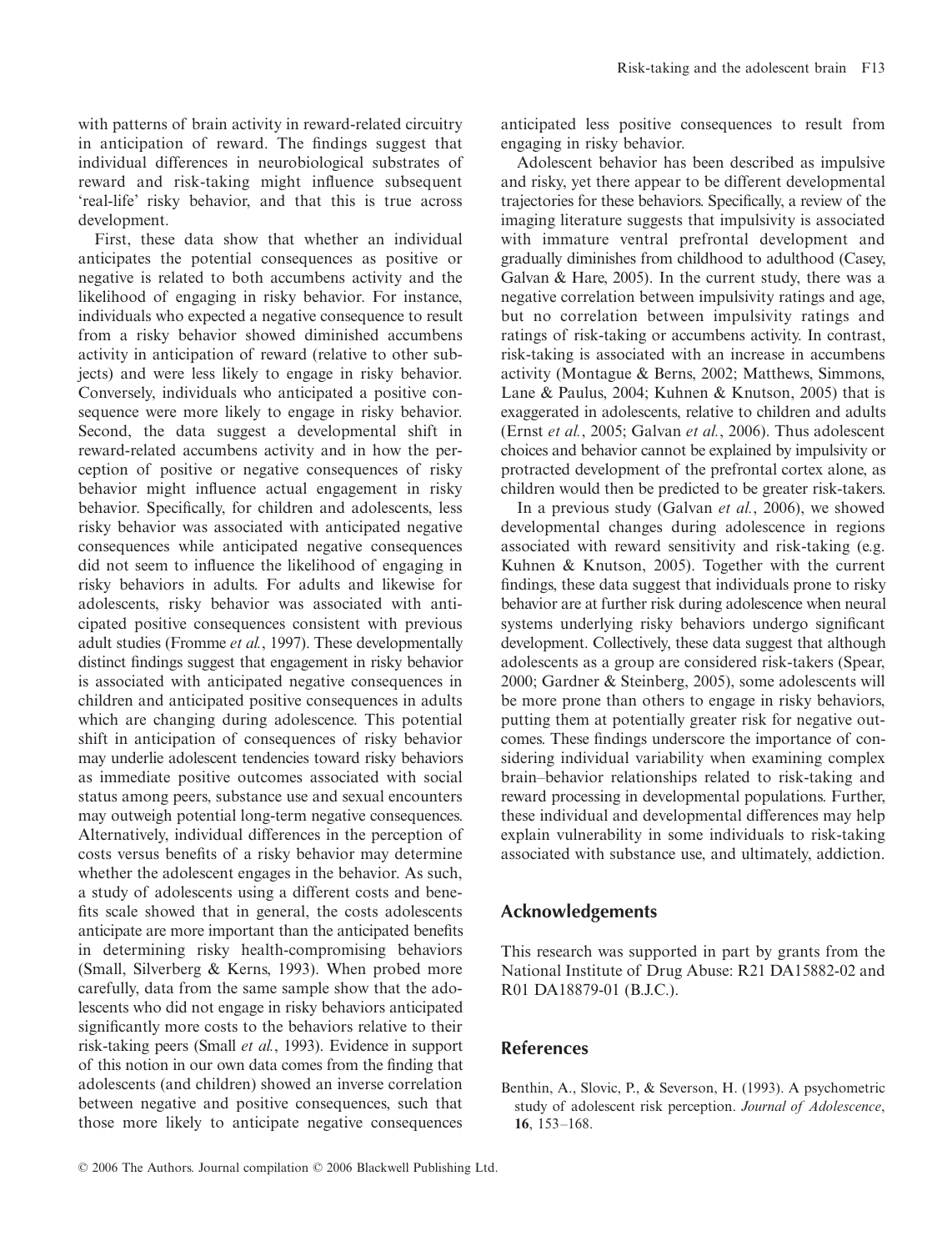with patterns of brain activity in reward-related circuitry in anticipation of reward. The findings suggest that individual differences in neurobiological substrates of reward and risk-taking might influence subsequent 'real-life' risky behavior, and that this is true across development.

First, these data show that whether an individual anticipates the potential consequences as positive or negative is related to both accumbens activity and the likelihood of engaging in risky behavior. For instance, individuals who expected a negative consequence to result from a risky behavior showed diminished accumbens activity in anticipation of reward (relative to other subjects) and were less likely to engage in risky behavior. Conversely, individuals who anticipated a positive consequence were more likely to engage in risky behavior. Second, the data suggest a developmental shift in reward-related accumbens activity and in how the perception of positive or negative consequences of risky behavior might influence actual engagement in risky behavior. Specifically, for children and adolescents, less risky behavior was associated with anticipated negative consequences while anticipated negative consequences did not seem to influence the likelihood of engaging in risky behaviors in adults. For adults and likewise for adolescents, risky behavior was associated with anticipated positive consequences consistent with previous adult studies (Fromme *et al.*, 1997). These developmentally distinct findings suggest that engagement in risky behavior is associated with anticipated negative consequences in children and anticipated positive consequences in adults which are changing during adolescence. This potential shift in anticipation of consequences of risky behavior may underlie adolescent tendencies toward risky behaviors as immediate positive outcomes associated with social status among peers, substance use and sexual encounters may outweigh potential long-term negative consequences. Alternatively, individual differences in the perception of costs versus benefits of a risky behavior may determine whether the adolescent engages in the behavior. As such, a study of adolescents using a different costs and benefits scale showed that in general, the costs adolescents anticipate are more important than the anticipated benefits in determining risky health-compromising behaviors (Small, Silverberg & Kerns, 1993). When probed more carefully, data from the same sample show that the adolescents who did not engage in risky behaviors anticipated significantly more costs to the behaviors relative to their risk-taking peers (Small *et al.*, 1993). Evidence in support of this notion in our own data comes from the finding that adolescents (and children) showed an inverse correlation between negative and positive consequences, such that those more likely to anticipate negative consequences

anticipated less positive consequences to result from engaging in risky behavior.

Adolescent behavior has been described as impulsive and risky, yet there appear to be different developmental trajectories for these behaviors. Specifically, a review of the imaging literature suggests that impulsivity is associated with immature ventral prefrontal development and gradually diminishes from childhood to adulthood (Casey, Galvan & Hare, 2005). In the current study, there was a negative correlation between impulsivity ratings and age, but no correlation between impulsivity ratings and ratings of risk-taking or accumbens activity. In contrast, risk-taking is associated with an increase in accumbens activity (Montague & Berns, 2002; Matthews, Simmons, Lane & Paulus, 2004; Kuhnen & Knutson, 2005) that is exaggerated in adolescents, relative to children and adults (Ernst *et al.*, 2005; Galvan *et al.*, 2006). Thus adolescent choices and behavior cannot be explained by impulsivity or protracted development of the prefrontal cortex alone, as children would then be predicted to be greater risk-takers.

In a previous study (Galvan *et al.*, 2006), we showed developmental changes during adolescence in regions associated with reward sensitivity and risk-taking (e.g. Kuhnen & Knutson, 2005). Together with the current findings, these data suggest that individuals prone to risky behavior are at further risk during adolescence when neural systems underlying risky behaviors undergo significant development. Collectively, these data suggest that although adolescents as a group are considered risk-takers (Spear, 2000; Gardner & Steinberg, 2005), some adolescents will be more prone than others to engage in risky behaviors, putting them at potentially greater risk for negative outcomes. These findings underscore the importance of considering individual variability when examining complex brain–behavior relationships related to risk-taking and reward processing in developmental populations. Further, these individual and developmental differences may help explain vulnerability in some individuals to risk-taking associated with substance use, and ultimately, addiction.

## **Acknowledgements**

This research was supported in part by grants from the National Institute of Drug Abuse: R21 DA15882-02 and R01 DA18879-01 (B.J.C.).

## **References**

Benthin, A., Slovic, P., & Severson, H. (1993). A psychometric study of adolescent risk perception. *Journal of Adolescence*, **16**, 153–168.